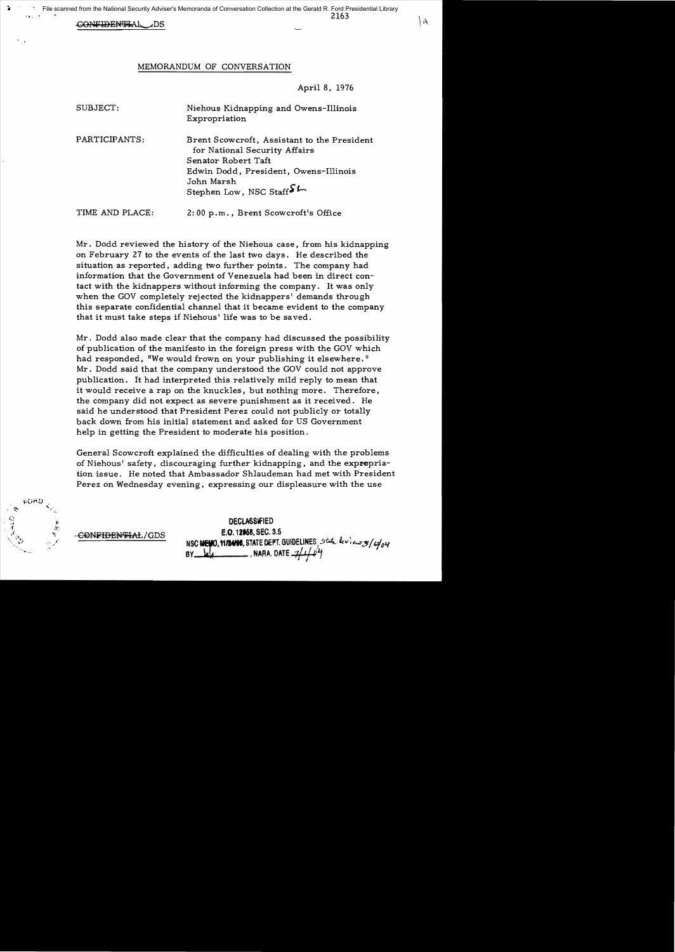#### G<del>onfidenti</del>al .ds

#### MEMORANDUM OF CONVERSATION

April 8, 1976

| SUBJECT:        | Niehous Kidnapping and Owens-Illinois<br>Expropriation                                                                                                                               |
|-----------------|--------------------------------------------------------------------------------------------------------------------------------------------------------------------------------------|
| PARTICIPANTS:   | Brent Scowcroft, Assistant to the President<br>for National Security Affairs<br>Senator Robert Taft<br>Edwin Dodd, President, Owens-Illinois<br>John Marsh<br>Stephen Low, NSC Staff |
| TIME AND PLACE: | 2:00 p.m., Brent Scowcroft's Office                                                                                                                                                  |

Mr. Dodd reviewed the history of the Niehous case. from his kidnapping on February 27 to the events of the last two days. He described the situation as reported. adding two further points. The company had information that the Government of Venezuela had been in direct contact with the kidnappers without informing the company. It was only when the GOV completely rejected the kidnappers' demands through this separate confidential channel that it became evident to the company that it must take steps if Niehous' life was to be saved.

Mr. Dodd also made clear that the company had discussed the possibility of publication of the manifesto in the foreign press with the GOV which had responded, "We would frown on your publishing it elsewhere." Mr. Dodd said that the company understood the GOV could not approve publication. It had interpreted this relatively mild reply to mean that it would receive a rap on the knuckles. but nothing more. Therefore. the company did not expect as severe punishment as it received. He said he understood that President Perez could not publicly or totally back down from his initial statement and asked for US Government help in getting the President to moderate his position.

General Scowcroft explained the difficulties of dealing with the problems of Niehous' safety, discouraging further kidnapping, and the expropriation issue. He noted that Ambassador Shlaudeman had met with President Perez on Wednesday evening, expressing our displeasure with the use



CONFIDENTIAL/GDS

**DECLASSIFIED** E.O. 12958, SEC. 3.5 NSC MENO. 11/2408, STATE DEPT. GUIDELINES, State leview of  $\frac{1}{4}$ , NARA. DATE  $\mathcal{A}$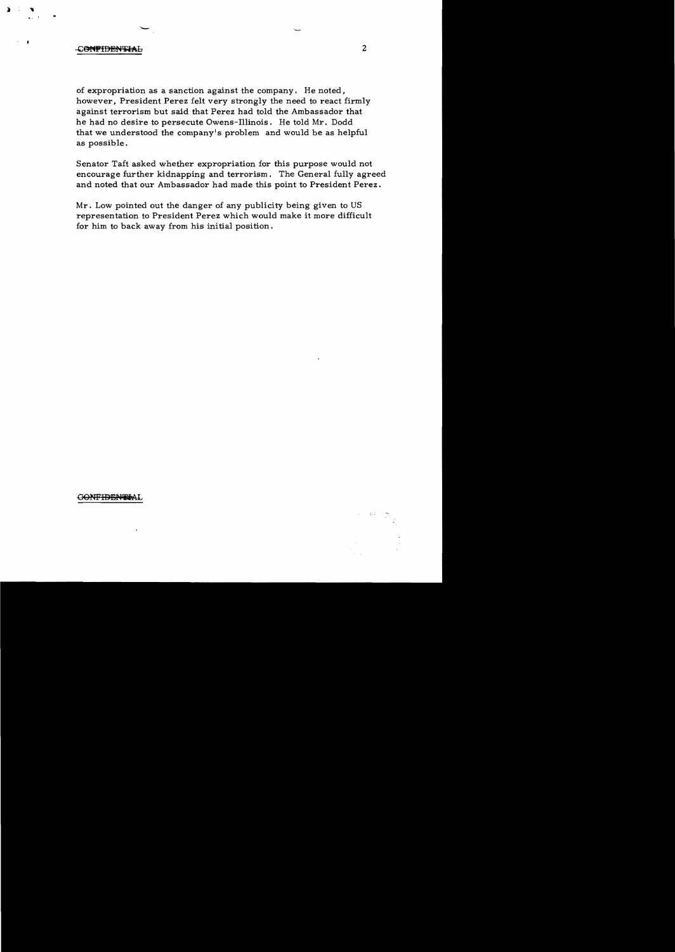### CONFIDENTIAL

 $\sum_{i=1}^{n}$  $\ddotsc$ 

> of expropriation as a sanction against the company. He noted, however, President Perez felt very strongly the need to react firmly against terrorism but said that Perez had told the Ambassador that he had no desire to persecute Owens-Illinois. He told Mr. Dodd that we understood the company's problem and would be as helpful as possible.

Senator Taft asked whether expropriation for this purpose would not encourage further kidnapping and terrorism. The General fully agreed and noted that our Ambassador had made this point to President Perez.

Mr. Low pointed out the danger of any publicity being given to US representation to President Perez which would make it more difficult for him to back away from his initial position.

GONFIDENTIAL

2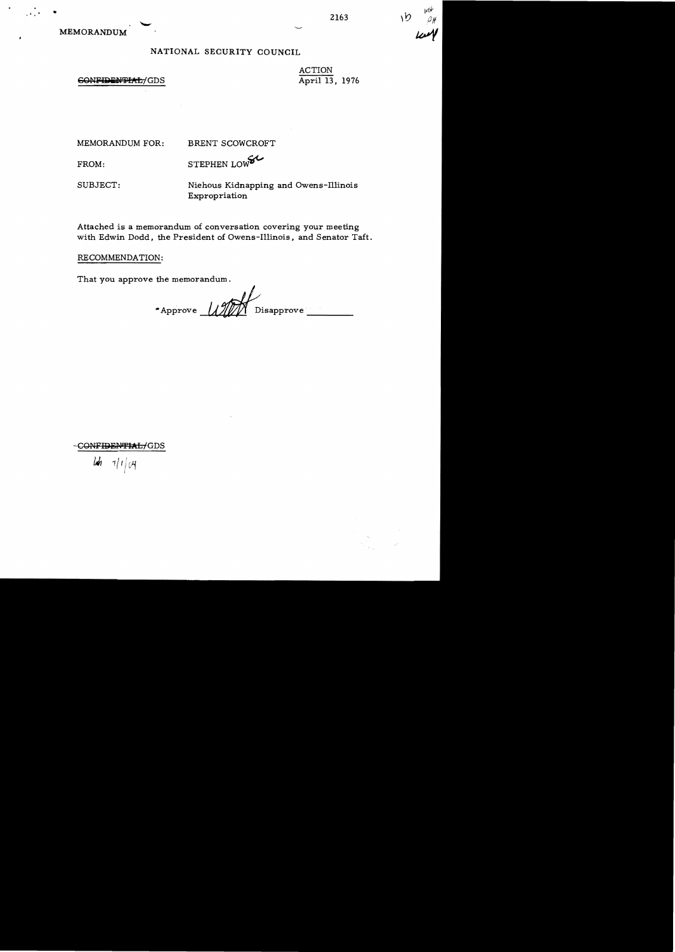# NATIONAL SECURITY COUNCIL

## CONFIDENTIAL/GDS

ACTION April 13, 1976

MEMORANDUM FOR:

BRENT SCOWCROFT

STEPHEN LOWEL FROM:

SUBJECT:

Niehous Kidnapping and Owens-Illinois Expropriation

Attached is a memorandum of conversation covering your meeting with Edwin Dodd, the President of Owens-Illinois, and Senator Taft.

RECOMMENDATION:

That you approve the memorandum.

Approve Disapprove

CONFIDENTIAL/GDS

 $\mathcal{U}$  $1/104$